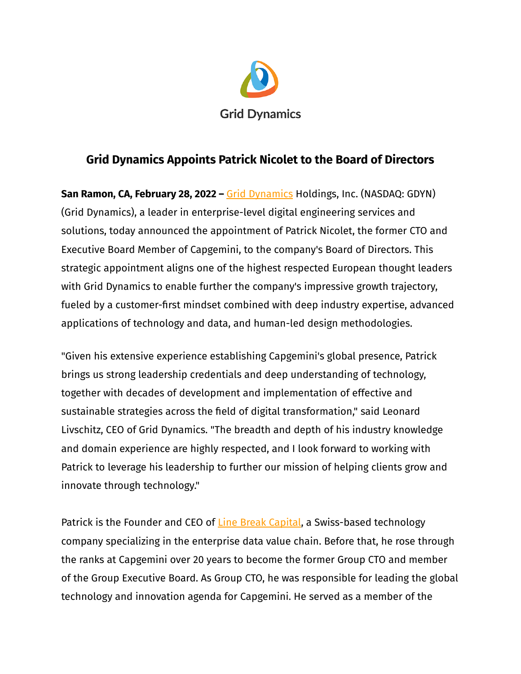

## **Grid Dynamics Appoints Patrick Nicolet to the Board of Directors**

**San Ramon, CA, February 28, 2022 –** Grid [Dynamics](https://www.griddynamics.com/) Holdings, Inc. (NASDAQ: GDYN) (Grid Dynamics), a leader in enterprise-level digital engineering services and solutions, today announced the appointment of Patrick Nicolet, the former CTO and Executive Board Member of Capgemini, to the company's Board of Directors. This strategic appointment aligns one of the highest respected European thought leaders with Grid Dynamics to enable further the company's impressive growth trajectory, fueled by a customer-first mindset combined with deep industry expertise, advanced applications of technology and data, and human-led design methodologies.

"Given his extensive experience establishing Capgemini's global presence, Patrick brings us strong leadership credentials and deep understanding of technology, together with decades of development and implementation of effective and sustainable strategies across the field of digital transformation," said Leonard Livschitz, CEO of Grid Dynamics. "The breadth and depth of his industry knowledge and domain experience are highly respected, and I look forward to working with Patrick to leverage his leadership to further our mission of helping clients grow and innovate through technology."

Patrick is the Founder and CEO of Line Break [Capital,](https://www.linebreakcapital.com/) a Swiss-based technology company specializing in the enterprise data value chain. Before that, he rose through the ranks at Capgemini over 20 years to become the former Group CTO and member of the Group Executive Board. As Group CTO, he was responsible for leading the global technology and innovation agenda for Capgemini. He served as a member of the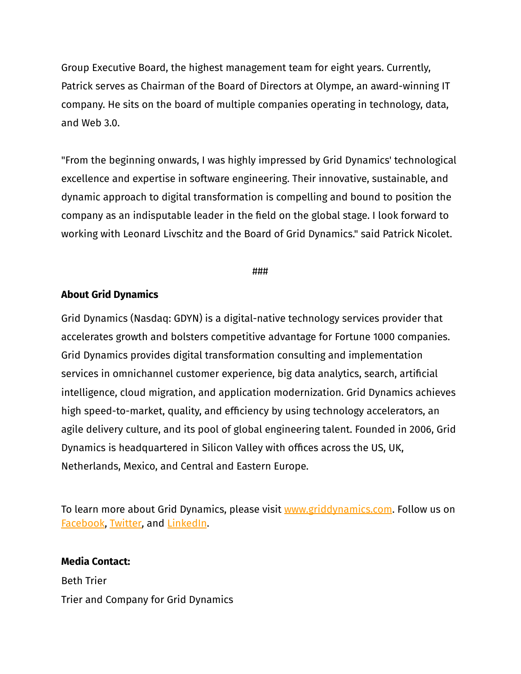Group Executive Board, the highest management team for eight years. Currently, Patrick serves as Chairman of the Board of Directors at Olympe, an award-winning IT company. He sits on the board of multiple companies operating in technology, data, and Web 3.0.

"From the beginning onwards, I was highly impressed by Grid Dynamics' technological excellence and expertise in software engineering. Their innovative, sustainable, and dynamic approach to digital transformation is compelling and bound to position the company as an indisputable leader in the field on the global stage. I look forward to working with Leonard Livschitz and the Board of Grid Dynamics." said Patrick Nicolet.

###

## **About Grid Dynamics**

Grid Dynamics (Nasdaq: GDYN) is a digital-native technology services provider that accelerates growth and bolsters competitive advantage for Fortune 1000 companies. Grid Dynamics provides digital transformation consulting and implementation services in omnichannel customer experience, big data analytics, search, artificial intelligence, cloud migration, and application modernization. Grid Dynamics achieves high speed-to-market, quality, and efficiency by using technology accelerators, an agile delivery culture, and its pool of global engineering talent. Founded in 2006, Grid Dynamics is headquartered in Silicon Valley with offices across the US, UK, Netherlands, Mexico, and Central and Eastern Europe.

To learn more about Grid Dynamics, please visit [www.griddynamics.com](http://www.griddynamics.com). Follow us o[n](https://www.facebook.com/griddynamics) [Facebook](https://www.facebook.com/griddynamics), [Twitter,](https://twitter.com/griddynamics) and [LinkedIn](https://www.linkedin.com/company/grid-dynamics/).

## **Media Contact:**

Beth Trier Trier and Company for Grid Dynamics